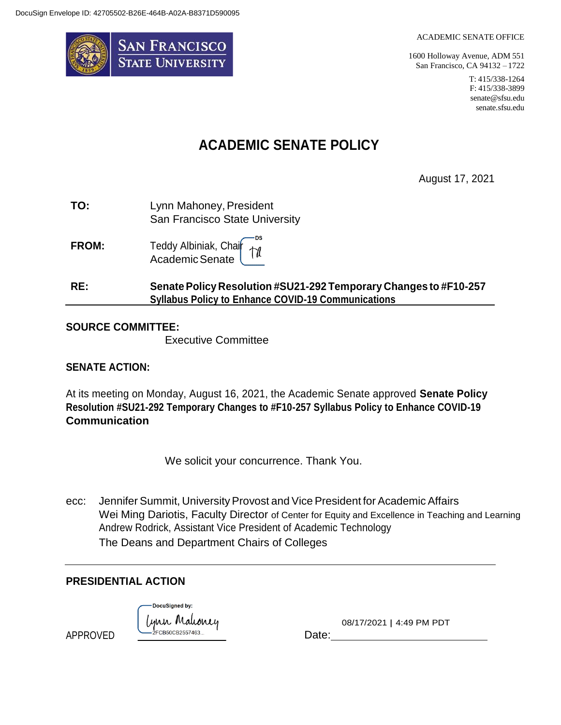

#### ACADEMIC SENATE OFFICE

1600 Holloway Avenue, ADM 551 San Francisco, CA 94132 – 1722

> T: 415/338-1264 F: 415/338-3899 [senate@sfsu.edu](mailto:senate@sfsu.edu) senate.sfsu.edu

## **ACADEMIC SENATE POLICY**

August 17, 2021

| TO: | Lynn Mahoney, President        |
|-----|--------------------------------|
|     | San Francisco State University |

٠DS **FROM:** Teddy Albiniak, Chair 17 AcademicSenate

## **RE: SenatePolicy Resolution #SU21-292 Temporary Changes to #F10-257 Syllabus Policy to Enhance COVID-19 Communications**

## **SOURCE COMMITTEE:**

Executive Committee

## **SENATE ACTION:**

At its meeting on Monday, August 16, 2021, the Academic Senate approved **Senate Policy Resolution #SU21-292 Temporary Changes to #F10-257 Syllabus Policy to Enhance COVID-19 Communication**

We solicit your concurrence. Thank You.

ecc: Jennifer Summit, University Provost and Vice President for Academic Affairs Wei Ming Dariotis, Faculty Director of Center for Equity and Excellence in Teaching and Learning Andrew Rodrick, Assistant Vice President of Academic Technology The Deans and Department Chairs of Colleges

## **PRESIDENTIAL ACTION**

DocuSigned by: ynn Mahoney  $\overbrace{\phantom{xxxxx}}$   $\overbrace{\phantom{xxxxx}}$   $\overbrace{\phantom{xxxxx}}$   $\overbrace{\phantom{xxxxx}}$   $\overbrace{\phantom{xxxxx}}$   $\overbrace{\phantom{xxxxx}}$   $\overbrace{\phantom{xxxxx}}$   $\overbrace{\phantom{xxxxx}}$   $\overbrace{\phantom{xxxxx}}$ 

08/17/2021 | 4:49 PM PDT

APPROVED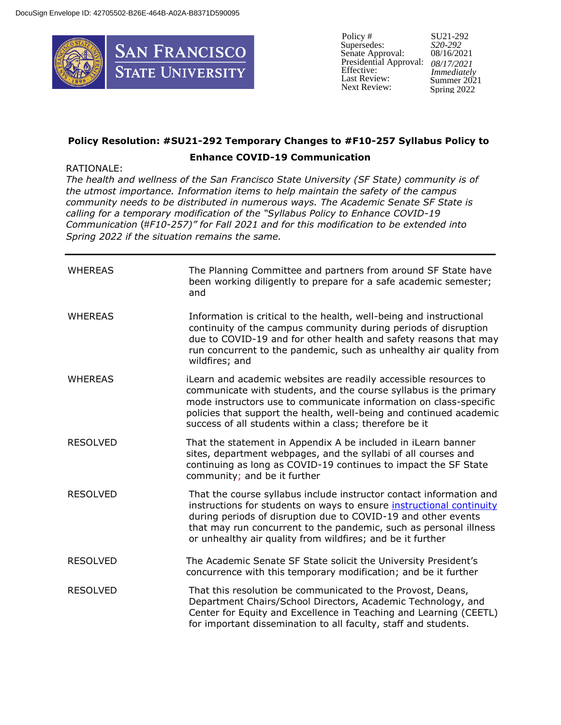

Policy # Supersedes: Senate Approval: Presidential Approval: Effective: Last Review: Next Review:

SU21-292 *S20-292*  08/16/2021 *08/17/2021 Immediately* Summer 2021 Spring 2022

# **Policy Resolution: #SU21-292 Temporary Changes to #F10-257 Syllabus Policy to**

### **Enhance COVID-19 Communication**

### RATIONALE:

*The health and wellness of the San Francisco State University (SF State) community is of the utmost importance. Information items to help maintain the safety of the campus community needs to be distributed in numerous ways. The Academic Senate SF State is calling for a temporary modification of the "Syllabus Policy to Enhance COVID-19 Communication* (#*F10-257)" for Fall 2021 and for this modification to be extended into Spring 2022 if the situation remains the same.*

| <b>WHEREAS</b>  | The Planning Committee and partners from around SF State have<br>been working diligently to prepare for a safe academic semester;<br>and                                                                                                                                                                                                        |
|-----------------|-------------------------------------------------------------------------------------------------------------------------------------------------------------------------------------------------------------------------------------------------------------------------------------------------------------------------------------------------|
| <b>WHEREAS</b>  | Information is critical to the health, well-being and instructional<br>continuity of the campus community during periods of disruption<br>due to COVID-19 and for other health and safety reasons that may<br>run concurrent to the pandemic, such as unhealthy air quality from<br>wildfires; and                                              |
| <b>WHEREAS</b>  | iLearn and academic websites are readily accessible resources to<br>communicate with students, and the course syllabus is the primary<br>mode instructors use to communicate information on class-specific<br>policies that support the health, well-being and continued academic<br>success of all students within a class; therefore be it    |
| <b>RESOLVED</b> | That the statement in Appendix A be included in iLearn banner<br>sites, department webpages, and the syllabi of all courses and<br>continuing as long as COVID-19 continues to impact the SF State<br>community; and be it further                                                                                                              |
| <b>RESOLVED</b> | That the course syllabus include instructor contact information and<br>instructions for students on ways to ensure instructional continuity<br>during periods of disruption due to COVID-19 and other events<br>that may run concurrent to the pandemic, such as personal illness<br>or unhealthy air quality from wildfires; and be it further |
| <b>RESOLVED</b> | The Academic Senate SF State solicit the University President's<br>concurrence with this temporary modification; and be it further                                                                                                                                                                                                              |
| <b>RESOLVED</b> | That this resolution be communicated to the Provost, Deans,<br>Department Chairs/School Directors, Academic Technology, and<br>Center for Equity and Excellence in Teaching and Learning (CEETL)<br>for important dissemination to all faculty, staff and students.                                                                             |